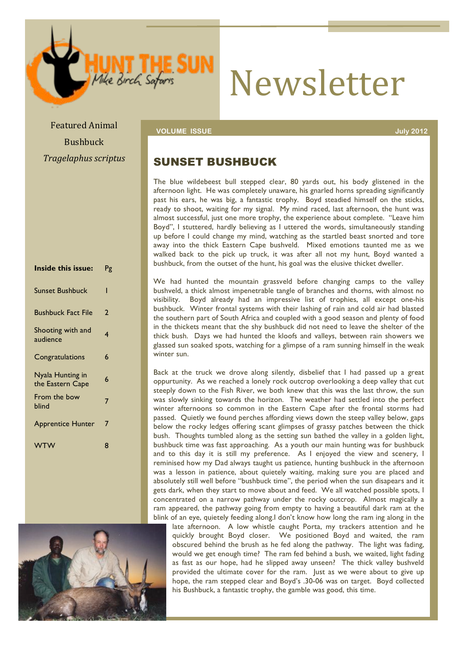# Newsletter

**Featured Animal Colume ISSUE July 2012** and the set of the set of the set of the set of the set of the set of the set of the set of the set of the set of the set of the set of the set of the set of the set of the set of Bushbuck *Tragelaphus+scriptus*

#### SUNSET BUSHBUCK

The blue wildebeest bull stepped clear, 80 yards out, his body glistened in the afternoon light. He was completely unaware, his gnarled horns spreading significantly past his ears, he was big, a fantastic trophy. Boyd steadied himself on the sticks, ready to shoot, waiting for my signal. My mind raced, last afternoon, the hunt was almost successful, just one more trophy, the experience about complete. "Leave him Boyd", I stuttered, hardly believing as I uttered the words, simultaneously standing up before I could change my mind, watching as the startled beast snorted and tore away into the thick Eastern Cape bushveld. Mixed emotions taunted me as we walked back to the pick up truck, it was after all not my hunt, Boyd wanted a bushbuck, from the outset of the hunt, his goal was the elusive thicket dweller.

We had hunted the mountain grassveld before changing camps to the valley bushveld, a thick almost impenetrable tangle of branches and thorns, with almost no visibility. Boyd already had an impressive list of trophies, all except one-his bushbuck. Winter frontal systems with their lashing of rain and cold air had blasted the southern part of South Africa and coupled with a good season and plenty of food in the thickets meant that the shy bushbuck did not need to leave the shelter of the thick bush. Days we had hunted the kloofs and valleys, between rain showers we glassed sun soaked spots, watching for a glimpse of a ram sunning himself in the weak winter sun.

Back at the truck we drove along silently, disbelief that I had passed up a great oppurtunity. As we reached a lonely rock outcrop overlooking a deep valley that cut steeply down to the Fish River, we both knew that this was the last throw, the sun was slowly sinking towards the horizon. The weather had settled into the perfect winter afternoons so common in the Eastern Cape after the frontal storms had passed. Quietly we found perches affording views down the steep valley below, gaps below the rocky ledges offering scant glimpses of grassy patches between the thick bush. Thoughts tumbled along as the setting sun bathed the valley in a golden light, bushbuck time was fast approaching. As a youth our main hunting was for bushbuck and to this day it is still my preference. As I enjoyed the view and scenery, I reminised how my Dad always taught us patience, hunting bushbuck in the afternoon was a lesson in patience, about quietely waiting, making sure you are placed and absolutely still well before "bushbuck time", the period when the sun disapears and it gets dark, when they start to move about and feed. We all watched possible spots, I concentrated on a narrow pathway under the rocky outcrop. Almost magically a ram appeared, the pathway going from empty to having a beautiful dark ram at the blink of an eye, quietely feeding along.I don't know how long the ram ing along in the

late afternoon. A low whistle caught Porta, my trackers attention and he quickly brought Boyd closer. We positioned Boyd and waited, the ram obscured behind the brush as he fed along the pathway. The light was fading, would we get enough time? The ram fed behind a bush, we waited, light fading as fast as our hope, had he slipped away unseen? The thick valley bushveld provided the ultimate cover for the ram. Just as we were about to give up hope, the ram stepped clear and Boyd's .30-06 was on target. Boyd collected his Bushbuck, a fantastic trophy, the gamble was good, this time.

**Inside this issue:** Pg Sunset Bushbuck 1 Bushbuck Fact File 2 Shooting with and shooting with and 4 Congratulations 6 Nyala Hunting in the Eastern Cape 6 From the bow 7<br>blind Apprentice Hunter 7 WTW 8

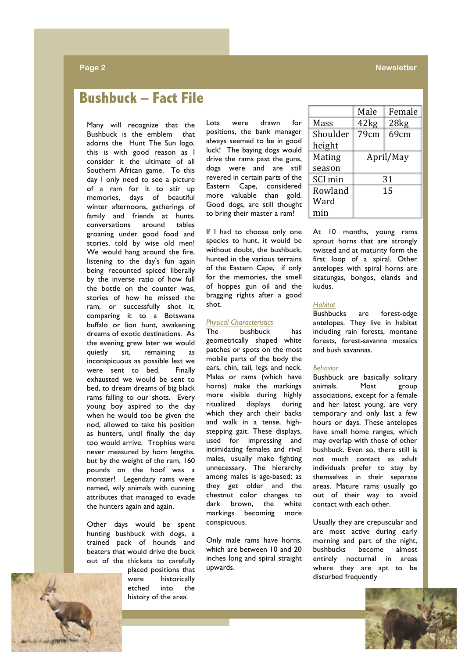#### **Page 2 Newsletter Newsletter**

# **Bushbuck – Fact File**

Many will recognize that the Bushbuck is the emblem that adorns the Hunt The Sun logo, this is with good reason as I consider it the ultimate of all Southern African game. To this day I only need to see a picture of a ram for it to stir up memories, days of beautiful winter afternoons, gatherings of family and friends at hunts, conversations around tables groaning under good food and stories, told by wise old men! We would hang around the fire, listening to the day's fun again being recounted spiced liberally by the inverse ratio of how full the bottle on the counter was, stories of how he missed the ram, or successfully shot it, comparing it to a Botswana buffalo or lion hunt, awakening dreams of exotic destinations. As the evening grew later we would quietly sit, remaining as inconspicuous as possible lest we were sent to bed. Finally exhausted we would be sent to bed, to dream dreams of big black rams falling to our shots. Every young boy aspired to the day when he would too be given the nod, allowed to take his position as hunters, until finally the day too would arrive. Trophies were never measured by horn lengths, but by the weight of the ram, 160 pounds on the hoof was a monster! Legendary rams were named, wily animals with cunning attributes that managed to evade the hunters again and again.

Other days would be spent hunting bushbuck with dogs, a trained pack of hounds and beaters that would drive the buck out of the thickets to carefully

placed positions that were historically etched into the history of the area.

Lots were drawn for positions, the bank manager always seemed to be in good luck! The baying dogs would drive the rams past the guns, dogs were and are still revered in certain parts of the Eastern Cape, considered more valuable than gold. Good dogs, are still thought to bring their master a ram!

If I had to choose only one species to hunt, it would be without doubt, the bushbuck, hunted in the various terrains of the Eastern Cape, if only for the memories, the smell of hoppes gun oil and the bragging rights after a good shot.

#### *Physical Characteristics*

The bushbuck has geometrically shaped white patches or spots on the most mobile parts of the body the ears, chin, tail, legs and neck. Males or rams (which have horns) make the markings more visible during highly ritualized displays during which they arch their backs and walk in a tense, highstepping gait. These displays, used for impressing and intimidating females and rival males, usually make fighting unnecessary. The hierarchy among males is age-based; as they get older and the chestnut color changes to dark brown, the white markings becoming more conspicuous.

Only male rams have horns, which are between 10 and 20 inches long and spiral straight upwards.

|          | Male      | Female |
|----------|-----------|--------|
| Mass     | 42kg      | 28kg   |
| Shoulder | 79cm      | 69cm   |
| height   |           |        |
| Mating   | April/May |        |
| season   |           |        |
| SCI min  | 31        |        |
| Rowland  | 15        |        |
| Ward     |           |        |
| min      |           |        |

At 10 months, young rams sprout horns that are strongly twisted and at maturity form the first loop of a spiral. Other antelopes with spiral horns are sitatungas, bongos, elands and kudus.

#### *Habitat*

Bushbucks are forest-edge antelopes. They live in habitat including rain forests, montane forests, forest-savanna mosaics and bush savannas.

#### *Behavior*

Bushbuck are basically solitary animals. Most group associations, except for a female and her latest young, are very temporary and only last a few hours or days. These antelopes have small home ranges, which may overlap with those of other bushbuck. Even so, there still is not much contact as adult individuals prefer to stay by themselves in their separate areas. Mature rams usually go out of their way to avoid contact with each other.

Usually they are crepuscular and are most active during early morning and part of the night, bushbucks become almost entirely nocturnal in areas where they are apt to be disturbed frequently

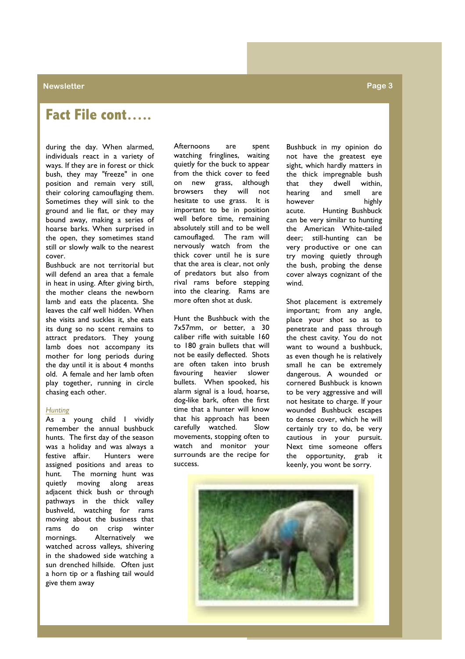# **Fact File cont…..**

during the day. When alarmed, individuals react in a variety of ways. If they are in forest or thick bush, they may "freeze" in one position and remain very still, their coloring camouflaging them. Sometimes they will sink to the ground and lie flat, or they may bound away, making a series of hoarse barks. When surprised in the open, they sometimes stand still or slowly walk to the nearest cover.

Bushbuck are not territorial but will defend an area that a female in heat in using. After giving birth, the mother cleans the newborn lamb and eats the placenta. She leaves the calf well hidden. When she visits and suckles it, she eats its dung so no scent remains to attract predators. They young lamb does not accompany its mother for long periods during the day until it is about 4 months old. A female and her lamb often play together, running in circle chasing each other.

#### *Hunting*

As a young child I vividly remember the annual bushbuck hunts. The first day of the season was a holiday and was always a festive affair. Hunters were assigned positions and areas to hunt. The morning hunt was quietly moving along areas adjacent thick bush or through pathways in the thick valley bushveld, watching for rams moving about the business that rams do on crisp winter mornings. Alternatively we watched across valleys, shivering in the shadowed side watching a sun drenched hillside. Often just a horn tip or a flashing tail would give them away

Afternoons are spent watching fringlines, waiting quietly for the buck to appear from the thick cover to feed on new grass, although browsers they will not hesitate to use grass. It is important to be in position well before time, remaining absolutely still and to be well camouflaged. The ram will nervously watch from the thick cover until he is sure that the area is clear, not only of predators but also from rival rams before stepping into the clearing. Rams are more often shot at dusk.

Hunt the Bushbuck with the 7x57mm, or better, a 30 caliber rifle with suitable 160 to 180 grain bullets that will not be easily deflected. Shots are often taken into brush favouring heavier slower bullets. When spooked, his alarm signal is a loud, hoarse, dog-like bark, often the first time that a hunter will know that his approach has been carefully watched. Slow movements, stopping often to watch and monitor your surrounds are the recipe for success.

Bushbuck in my opinion do not have the greatest eye sight, which hardly matters in the thick impregnable bush that they dwell within, hearing and smell are however highly acute. Hunting Bushbuck can be very similar to hunting the American White-tailed deer; still-hunting can be very productive or one can try moving quietly through the bush, probing the dense cover always cognizant of the wind.

Shot placement is extremely important; from any angle, place your shot so as to penetrate and pass through the chest cavity. You do not want to wound a bushbuck, as even though he is relatively small he can be extremely dangerous. A wounded or cornered Bushbuck is known to be very aggressive and will not hesitate to charge. If your wounded Bushbuck escapes to dense cover, which he will certainly try to do, be very cautious in your pursuit. Next time someone offers the opportunity, grab it keenly, you wont be sorry.

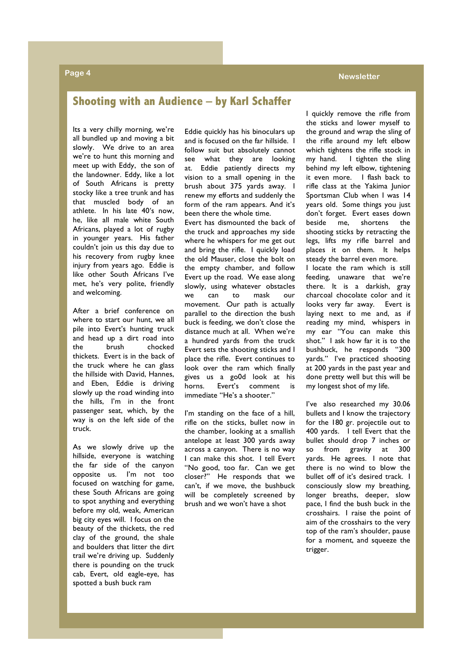#### **Page 4 Newsletter**

#### **Shooting with an Audience – by Karl Schaffer**

Its a very chilly morning, we're all bundled up and moving a bit slowly. We drive to an area we're to hunt this morning and meet up with Eddy, the son of the landowner. Eddy, like a lot of South Africans is pretty stocky like a tree trunk and has that muscled body of an athlete. In his late 40′s now, he, like all male white South Africans, played a lot of rugby in younger years. His father couldn't join us this day due to his recovery from rugby knee injury from years ago. Eddie is like other South Africans I've met, he's very polite, friendly and welcoming.

After a brief conference on where to start our hunt, we all pile into Evert's hunting truck and head up a dirt road into the brush chocked thickets. Evert is in the back of the truck where he can glass the hillside with David, Hannes, and Eben, Eddie is driving slowly up the road winding into the hills, I'm in the front passenger seat, which, by the way is on the left side of the truck.

As we slowly drive up the hillside, everyone is watching the far side of the canyon opposite us. I'm not too focused on watching for game, these South Africans are going to spot anything and everything before my old, weak, American big city eyes will. I focus on the beauty of the thickets, the red clay of the ground, the shale and boulders that litter the dirt trail we're driving up. Suddenly there is pounding on the truck cab, Evert, old eagle-eye, has spotted a bush buck ram

Eddie quickly has his binoculars up and is focused on the far hillside. I follow suit but absolutely cannot see what they are looking at. Eddie patiently directs my vision to a small opening in the brush about 375 yards away. I renew my efforts and suddenly the form of the ram appears. And it's been there the whole time.

Evert has dismounted the back of the truck and approaches my side where he whispers for me get out and bring the rifle. I quickly load the old Mauser, close the bolt on the empty chamber, and follow Evert up the road. We ease along slowly, using whatever obstacles we can to mask our movement. Our path is actually parallel to the direction the bush buck is feeding, we don't close the distance much at all. When we're a hundred yards from the truck Evert sets the shooting sticks and I place the rifle. Evert continues to look over the ram which finally gives us a go0d look at his horns. Evert's comment is immediate "He's a shooter."

I'm standing on the face of a hill, rifle on the sticks, bullet now in the chamber, looking at a smallish antelope at least 300 yards away across a canyon. There is no way I can make this shot. I tell Evert "No good, too far. Can we get closer?" He responds that we can't, if we move, the bushbuck will be completely screened by brush and we won't have a shot

I quickly remove the rifle from the sticks and lower myself to the ground and wrap the sling of the rifle around my left elbow which tightens the rifle stock in my hand. I tighten the sling behind my left elbow, tightening it even more. I flash back to rifle class at the Yakima Junior Sportsman Club when I was 14 years old. Some things you just don't forget. Evert eases down beside me, shortens the shooting sticks by retracting the legs, lifts my rifle barrel and places it on them. It helps steady the barrel even more. I locate the ram which is still feeding, unaware that we're there. It is a darkish, gray charcoal chocolate color and it looks very far away. Evert is laying next to me and, as if reading my mind, whispers in my ear "You can make this shot." I ask how far it is to the bushbuck, he responds "300 yards." I've practiced shooting at 200 yards in the past year and done pretty well but this will be my longest shot of my life.

I've also researched my 30.06 bullets and I know the trajectory for the 180 gr. projectile out to 400 yards. I tell Evert that the bullet should drop 7 inches or so from gravity at 300 yards. He agrees. I note that there is no wind to blow the bullet off of it's desired track. I consciously slow my breathing, longer breaths, deeper, slow pace, I find the bush buck in the crosshairs. I raise the point of aim of the crosshairs to the very top of the ram's shoulder, pause for a moment, and squeeze the trigger.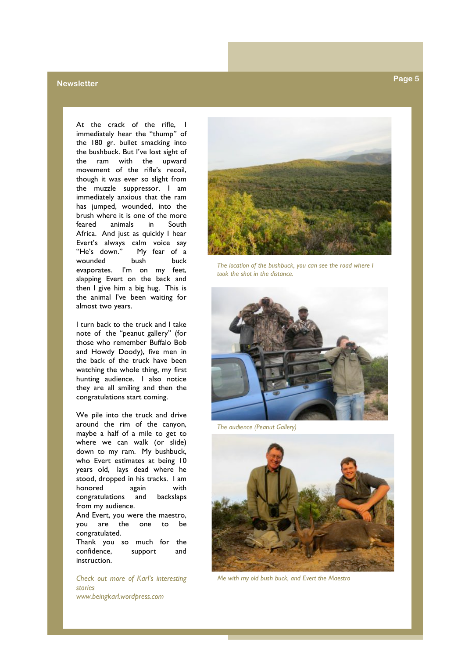### **Newsletter Page 5**

At the crack of the rifle, I immediately hear the "thump" of the 180 gr. bullet smacking into the bushbuck. But I've lost sight of the ram with the upward movement of the rifle's recoil, though it was ever so slight from the muzzle suppressor. I am immediately anxious that the ram has jumped, wounded, into the brush where it is one of the more feared animals in South Africa. And just as quickly I hear Evert's always calm voice say "He's down." My fear of a wounded bush buck evaporates. I'm on my feet, slapping Evert on the back and then I give him a big hug. This is the animal I've been waiting for almost two years.

I turn back to the truck and I take note of the "peanut gallery" (for those who remember Buffalo Bob and Howdy Doody), five men in the back of the truck have been watching the whole thing, my first hunting audience. I also notice they are all smiling and then the congratulations start coming.

We pile into the truck and drive around the rim of the canyon, maybe a half of a mile to get to where we can walk (or slide) down to my ram. My bushbuck, who Evert estimates at being 10 years old, lays dead where he stood, dropped in his tracks. I am honored again with congratulations and backslaps from my audience. And Evert, you were the maestro, you are the one to be congratulated. Thank you so much for the confidence, support and

*Check out more of Karl's interesting stories www.beingkarl.wordpress.com*

instruction.

*The location of the bushbuck, you can see the road where I took the shot in the distance.*



*The audience (Peanut Gallery)*



*Me with my old bush buck, and Evert the Maestro*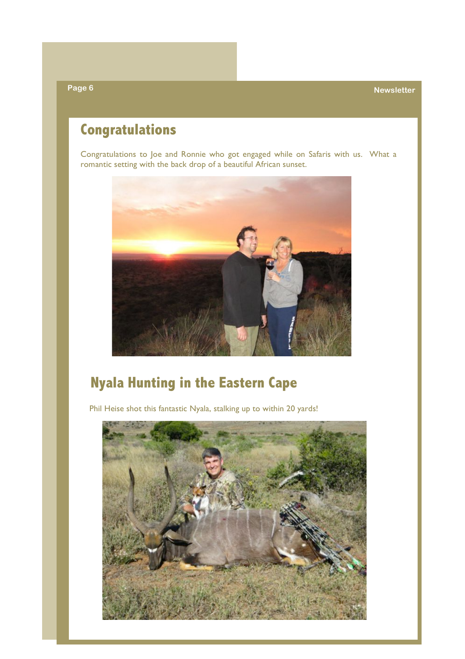**Page 6 Newsletter**

# **Congratulations**

Congratulations to Joe and Ronnie who got engaged while on Safaris with us. What a romantic setting with the back drop of a beautiful African sunset.



# **Nyala Hunting in the Eastern Cape**

Phil Heise shot this fantastic Nyala, stalking up to within 20 yards!

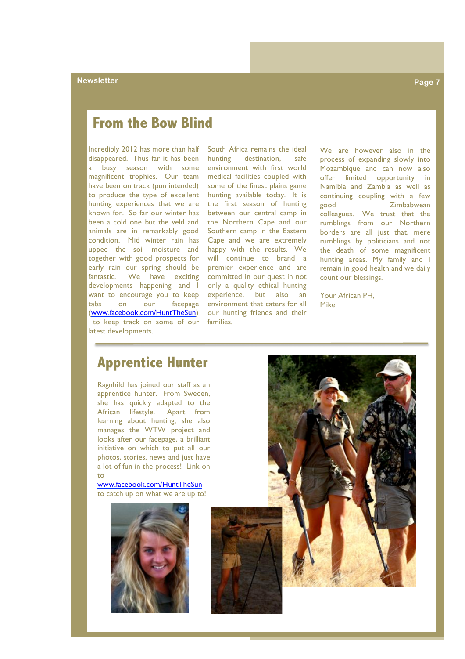### **From the Bow Blind**

Incredibly 2012 has more than half South Africa remains the ideal disappeared. Thus far it has been a busy season with some magnificent trophies. Our team medical facilities coupled with have been on track (pun intended) some of the finest plains game to produce the type of excellent hunting available today. It is hunting experiences that we are the first season of hunting known for. So far our winter has between our central camp in been a cold one but the veld and the Northern Cape and our animals are in remarkably good Southern camp in the Eastern condition. Mid winter rain has Cape and we are extremely upped the soil moisture and together with good prospects for early rain our spring should be fantastic. We have exciting developments happening and I want to encourage you to keep tabs on our facepage (www.facebook.com/HuntTheSun) to keep track on some of our families. latest developments.

hunting destination, safe environment with first world happy with the results. We will continue to brand a premier experience and are committed in our quest in not only a quality ethical hunting experience, but also an environment that caters for all our hunting friends and their

We are however also in the process of expanding slowly into Mozambique and can now also offer limited opportunity in Namibia and Zambia as well as continuing coupling with a few good Zimbabwean colleagues. We trust that the rumblings from our Northern borders are all just that, mere rumblings by politicians and not the death of some magnificent hunting areas. My family and I remain in good health and we daily count our blessings.

Your African PH, Mike

### **Apprentice Hunter**

Ragnhild has joined our staff as an apprentice hunter. From Sweden, she has quickly adapted to the African lifestyle. Apart from learning about hunting, she also manages the WTW project and looks after our facepage, a brilliant initiative on which to put all our photos, stories, news and just have a lot of fun in the process! Link on to

www.facebook.com/HuntTheSun to catch up on what we are up to!